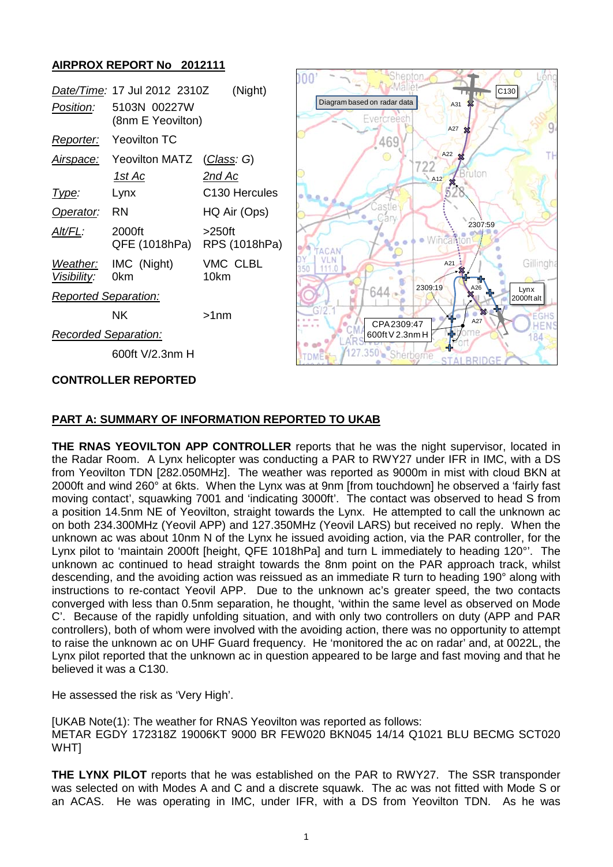# **AIRPROX REPORT No 2012111**

| Position:                   | Date/Time: 17 Jul 2012 2310Z<br>5103N 00227W<br>(8nm E Yeovilton) | (Night)                    |
|-----------------------------|-------------------------------------------------------------------|----------------------------|
| <u>Reporter:</u>            | Yeovilton TC                                                      |                            |
| Airspace:                   | Yeovilton MATZ                                                    | (Class: G)                 |
|                             | 1st Ac                                                            | 2nd Ac                     |
| <u> I ype:</u>              | Lynx                                                              | C <sub>130</sub> Hercules  |
| Operator:                   | RN                                                                | HQ Air (Ops)               |
| Alt/FL:                     | 2000ft<br>QFE (1018hPa)                                           | $>250$ ft<br>RPS (1018hPa) |
| Weather:<br>Visibility:     | IMC (Night)<br>0km                                                | VMC CLBL<br>10km           |
| <b>Reported Separation:</b> |                                                                   |                            |
|                             | ΝK                                                                | >1nm                       |
| Recorded Separation:        |                                                                   |                            |

600ft V/2.3nm H

## **CONTROLLER REPORTED**



## **PART A: SUMMARY OF INFORMATION REPORTED TO UKAB**

**THE RNAS YEOVILTON APP CONTROLLER** reports that he was the night supervisor, located in the Radar Room. A Lynx helicopter was conducting a PAR to RWY27 under IFR in IMC, with a DS from Yeovilton TDN [282.050MHz]. The weather was reported as 9000m in mist with cloud BKN at 2000ft and wind 260° at 6kts. When the Lynx was at 9nm [from touchdown] he observed a 'fairly fast moving contact', squawking 7001 and 'indicating 3000ft'. The contact was observed to head S from a position 14.5nm NE of Yeovilton, straight towards the Lynx. He attempted to call the unknown ac on both 234.300MHz (Yeovil APP) and 127.350MHz (Yeovil LARS) but received no reply. When the unknown ac was about 10nm N of the Lynx he issued avoiding action, via the PAR controller, for the Lynx pilot to 'maintain 2000ft [height, QFE 1018hPa] and turn L immediately to heading 120°'. The unknown ac continued to head straight towards the 8nm point on the PAR approach track, whilst descending, and the avoiding action was reissued as an immediate R turn to heading 190° along with instructions to re-contact Yeovil APP. Due to the unknown ac's greater speed, the two contacts converged with less than 0.5nm separation, he thought, 'within the same level as observed on Mode C'. Because of the rapidly unfolding situation, and with only two controllers on duty (APP and PAR controllers), both of whom were involved with the avoiding action, there was no opportunity to attempt to raise the unknown ac on UHF Guard frequency. He 'monitored the ac on radar' and, at 0022L, the Lynx pilot reported that the unknown ac in question appeared to be large and fast moving and that he believed it was a C130.

He assessed the risk as 'Very High'.

[UKAB Note(1): The weather for RNAS Yeovilton was reported as follows: METAR EGDY 172318Z 19006KT 9000 BR FEW020 BKN045 14/14 Q1021 BLU BECMG SCT020 WHT]

**THE LYNX PILOT** reports that he was established on the PAR to RWY27. The SSR transponder was selected on with Modes A and C and a discrete squawk. The ac was not fitted with Mode S or an ACAS. He was operating in IMC, under IFR, with a DS from Yeovilton TDN. As he was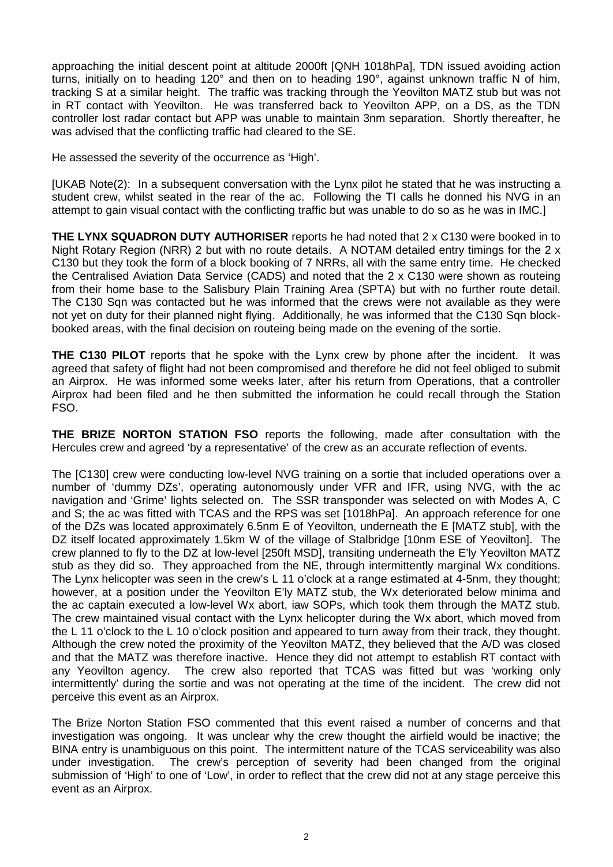approaching the initial descent point at altitude 2000ft [QNH 1018hPa], TDN issued avoiding action turns, initially on to heading 120° and then on to heading 190°, against unknown traffic N of him, tracking S at a similar height. The traffic was tracking through the Yeovilton MATZ stub but was not in RT contact with Yeovilton. He was transferred back to Yeovilton APP, on a DS, as the TDN controller lost radar contact but APP was unable to maintain 3nm separation. Shortly thereafter, he was advised that the conflicting traffic had cleared to the SE.

He assessed the severity of the occurrence as 'High'.

[UKAB Note(2): In a subsequent conversation with the Lynx pilot he stated that he was instructing a student crew, whilst seated in the rear of the ac. Following the TI calls he donned his NVG in an attempt to gain visual contact with the conflicting traffic but was unable to do so as he was in IMC.]

**THE LYNX SQUADRON DUTY AUTHORISER** reports he had noted that 2 x C130 were booked in to Night Rotary Region (NRR) 2 but with no route details. A NOTAM detailed entry timings for the 2 x C130 but they took the form of a block booking of 7 NRRs, all with the same entry time. He checked the Centralised Aviation Data Service (CADS) and noted that the 2 x C130 were shown as routeing from their home base to the Salisbury Plain Training Area (SPTA) but with no further route detail. The C130 Sqn was contacted but he was informed that the crews were not available as they were not yet on duty for their planned night flying. Additionally, he was informed that the C130 Sqn blockbooked areas, with the final decision on routeing being made on the evening of the sortie.

**THE C130 PILOT** reports that he spoke with the Lynx crew by phone after the incident. It was agreed that safety of flight had not been compromised and therefore he did not feel obliged to submit an Airprox. He was informed some weeks later, after his return from Operations, that a controller Airprox had been filed and he then submitted the information he could recall through the Station FSO.

**THE BRIZE NORTON STATION FSO** reports the following, made after consultation with the Hercules crew and agreed 'by a representative' of the crew as an accurate reflection of events.

The [C130] crew were conducting low-level NVG training on a sortie that included operations over a number of 'dummy DZs', operating autonomously under VFR and IFR, using NVG, with the ac navigation and 'Grime' lights selected on. The SSR transponder was selected on with Modes A, C and S; the ac was fitted with TCAS and the RPS was set [1018hPa]. An approach reference for one of the DZs was located approximately 6.5nm E of Yeovilton, underneath the E [MATZ stub], with the DZ itself located approximately 1.5km W of the village of Stalbridge [10nm ESE of Yeovilton]. The crew planned to fly to the DZ at low-level [250ft MSD], transiting underneath the E'ly Yeovilton MATZ stub as they did so. They approached from the NE, through intermittently marginal Wx conditions. The Lynx helicopter was seen in the crew's L 11 o'clock at a range estimated at 4-5nm, they thought; however, at a position under the Yeovilton E'ly MATZ stub, the Wx deteriorated below minima and the ac captain executed a low-level Wx abort, iaw SOPs, which took them through the MATZ stub. The crew maintained visual contact with the Lynx helicopter during the Wx abort, which moved from the L 11 o'clock to the L 10 o'clock position and appeared to turn away from their track, they thought. Although the crew noted the proximity of the Yeovilton MATZ, they believed that the A/D was closed and that the MATZ was therefore inactive. Hence they did not attempt to establish RT contact with any Yeovilton agency. The crew also reported that TCAS was fitted but was 'working only intermittently' during the sortie and was not operating at the time of the incident. The crew did not perceive this event as an Airprox.

The Brize Norton Station FSO commented that this event raised a number of concerns and that investigation was ongoing. It was unclear why the crew thought the airfield would be inactive; the BINA entry is unambiguous on this point. The intermittent nature of the TCAS serviceability was also under investigation. The crew's perception of severity had been changed from the original submission of 'High' to one of 'Low', in order to reflect that the crew did not at any stage perceive this event as an Airprox.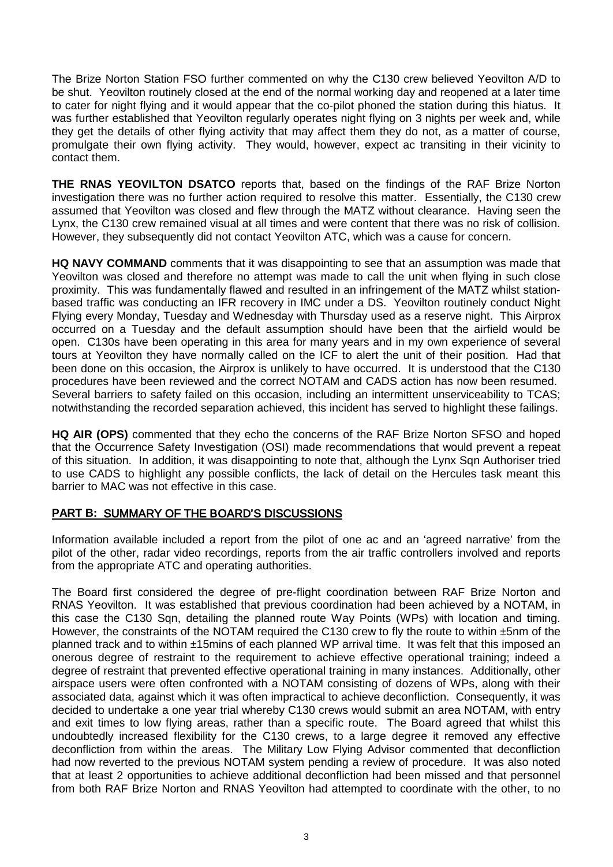The Brize Norton Station FSO further commented on why the C130 crew believed Yeovilton A/D to be shut. Yeovilton routinely closed at the end of the normal working day and reopened at a later time to cater for night flying and it would appear that the co-pilot phoned the station during this hiatus. It was further established that Yeovilton regularly operates night flying on 3 nights per week and, while they get the details of other flying activity that may affect them they do not, as a matter of course, promulgate their own flying activity. They would, however, expect ac transiting in their vicinity to contact them.

**THE RNAS YEOVILTON DSATCO** reports that, based on the findings of the RAF Brize Norton investigation there was no further action required to resolve this matter. Essentially, the C130 crew assumed that Yeovilton was closed and flew through the MATZ without clearance. Having seen the Lynx, the C130 crew remained visual at all times and were content that there was no risk of collision. However, they subsequently did not contact Yeovilton ATC, which was a cause for concern.

**HQ NAVY COMMAND** comments that it was disappointing to see that an assumption was made that Yeovilton was closed and therefore no attempt was made to call the unit when flying in such close proximity. This was fundamentally flawed and resulted in an infringement of the MATZ whilst stationbased traffic was conducting an IFR recovery in IMC under a DS. Yeovilton routinely conduct Night Flying every Monday, Tuesday and Wednesday with Thursday used as a reserve night. This Airprox occurred on a Tuesday and the default assumption should have been that the airfield would be open. C130s have been operating in this area for many years and in my own experience of several tours at Yeovilton they have normally called on the ICF to alert the unit of their position. Had that been done on this occasion, the Airprox is unlikely to have occurred. It is understood that the C130 procedures have been reviewed and the correct NOTAM and CADS action has now been resumed. Several barriers to safety failed on this occasion, including an intermittent unserviceability to TCAS; notwithstanding the recorded separation achieved, this incident has served to highlight these failings.

**HQ AIR (OPS)** commented that they echo the concerns of the RAF Brize Norton SFSO and hoped that the Occurrence Safety Investigation (OSI) made recommendations that would prevent a repeat of this situation. In addition, it was disappointing to note that, although the Lynx Sqn Authoriser tried to use CADS to highlight any possible conflicts, the lack of detail on the Hercules task meant this barrier to MAC was not effective in this case.

## **PART B:** SUMMARY OF THE BOARD'S DISCUSSIONS

Information available included a report from the pilot of one ac and an 'agreed narrative' from the pilot of the other, radar video recordings, reports from the air traffic controllers involved and reports from the appropriate ATC and operating authorities.

The Board first considered the degree of pre-flight coordination between RAF Brize Norton and RNAS Yeovilton. It was established that previous coordination had been achieved by a NOTAM, in this case the C130 Sqn, detailing the planned route Way Points (WPs) with location and timing. However, the constraints of the NOTAM required the C130 crew to fly the route to within ±5nm of the planned track and to within ±15mins of each planned WP arrival time. It was felt that this imposed an onerous degree of restraint to the requirement to achieve effective operational training; indeed a degree of restraint that prevented effective operational training in many instances. Additionally, other airspace users were often confronted with a NOTAM consisting of dozens of WPs, along with their associated data, against which it was often impractical to achieve deconfliction. Consequently, it was decided to undertake a one year trial whereby C130 crews would submit an area NOTAM, with entry and exit times to low flying areas, rather than a specific route. The Board agreed that whilst this undoubtedly increased flexibility for the C130 crews, to a large degree it removed any effective deconfliction from within the areas. The Military Low Flying Advisor commented that deconfliction had now reverted to the previous NOTAM system pending a review of procedure. It was also noted that at least 2 opportunities to achieve additional deconfliction had been missed and that personnel from both RAF Brize Norton and RNAS Yeovilton had attempted to coordinate with the other, to no